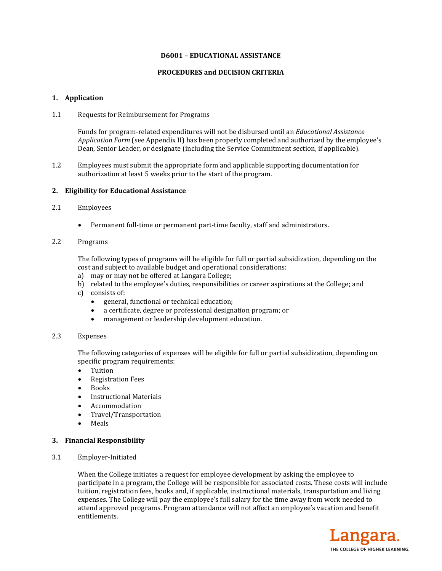# **D6001 – EDUCATIONAL ASSISTANCE**

## **PROCEDURES and DECISION CRITERIA**

# **1. Application**

1.1 Requests for Reimbursement for Programs

Funds for program-related expenditures will not be disbursed until an *Educational Assistance Application Form* (see Appendix II) has been properly completed and authorized by the employee's Dean, Senior Leader, or designate (including the Service Commitment section, if applicable).

1.2 Employees must submit the appropriate form and applicable supporting documentation for authorization at least 5 weeks prior to the start of the program.

# **2. Eligibility for Educational Assistance**

# 2.1 Employees

Permanent full-time or permanent part-time faculty, staff and administrators.

# 2.2 Programs

The following types of programs will be eligible for full or partial subsidization, depending on the cost and subject to available budget and operational considerations:

- a) may or may not be offered at Langara College;
- b) related to the employee's duties, responsibilities or career aspirations at the College; and
- c) consists of:
	- general, functional or technical education;
	- a certificate, degree or professional designation program; or
	- management or leadership development education.

# 2.3 Expenses

The following categories of expenses will be eligible for full or partial subsidization, depending on specific program requirements:

- Tuition
- Registration Fees
- Books
- Instructional Materials
- Accommodation
- Travel/Transportation
- Meals

# **3. Financial Responsibility**

3.1 Employer-Initiated

When the College initiates a request for employee development by asking the employee to participate in a program, the College will be responsible for associated costs. These costs will include tuition, registration fees, books and, if applicable, instructional materials, transportation and living expenses. The College will pay the employee's full salary for the time away from work needed to attend approved programs. Program attendance will not affect an employee's vacation and benefit entitlements.

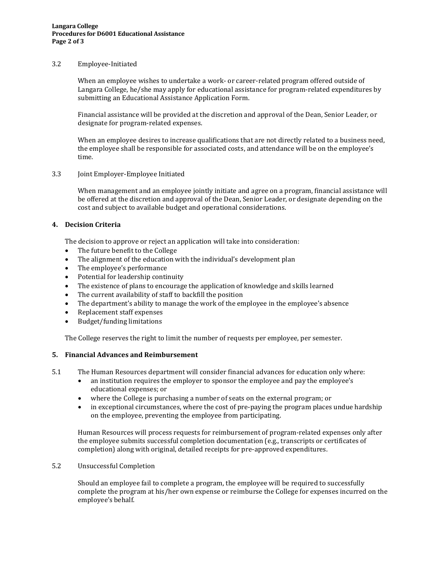# 3.2 Employee-Initiated

When an employee wishes to undertake a work- or career-related program offered outside of Langara College, he/she may apply for educational assistance for program-related expenditures by submitting an Educational Assistance Application Form.

Financial assistance will be provided at the discretion and approval of the Dean, Senior Leader, or designate for program-related expenses.

When an employee desires to increase qualifications that are not directly related to a business need, the employee shall be responsible for associated costs, and attendance will be on the employee's time.

### 3.3 Joint Employer-Employee Initiated

When management and an employee jointly initiate and agree on a program, financial assistance will be offered at the discretion and approval of the Dean, Senior Leader, or designate depending on the cost and subject to available budget and operational considerations.

# **4. Decision Criteria**

The decision to approve or reject an application will take into consideration:

- The future benefit to the College
- The alignment of the education with the individual's development plan
- The employee's performance
- Potential for leadership continuity
- The existence of plans to encourage the application of knowledge and skills learned
- The current availability of staff to backfill the position
- The department's ability to manage the work of the employee in the employee's absence
- Replacement staff expenses
- Budget/funding limitations

The College reserves the right to limit the number of requests per employee, per semester.

# **5. Financial Advances and Reimbursement**

- 5.1 The Human Resources department will consider financial advances for education only where:
	- an institution requires the employer to sponsor the employee and pay the employee's educational expenses; or
	- where the College is purchasing a number of seats on the external program; or
	- in exceptional circumstances, where the cost of pre-paying the program places undue hardship on the employee, preventing the employee from participating.

Human Resources will process requests for reimbursement of program-related expenses only after the employee submits successful completion documentation (e.g., transcripts or certificates of completion) along with original, detailed receipts for pre-approved expenditures.

# 5.2 Unsuccessful Completion

Should an employee fail to complete a program, the employee will be required to successfully complete the program at his/her own expense or reimburse the College for expenses incurred on the employee's behalf.